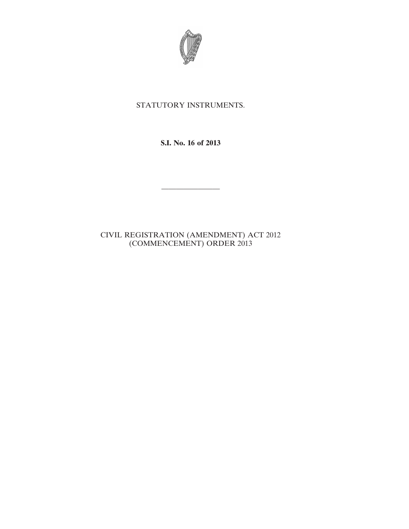

## STATUTORY INSTRUMENTS.

**S.I. No. 16 of 2013**

————————

CIVIL REGISTRATION (AMENDMENT) ACT 2012 (COMMENCEMENT) ORDER 2013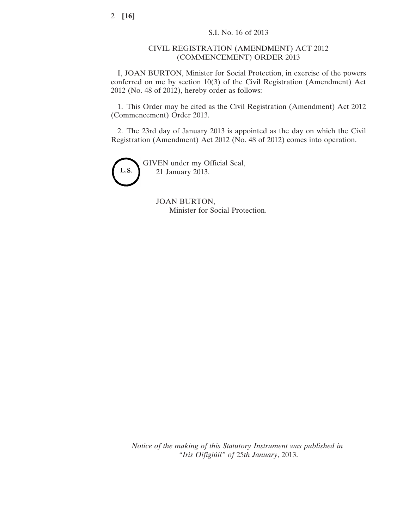## CIVIL REGISTRATION (AMENDMENT) ACT 2012 (COMMENCEMENT) ORDER 2013

I, JOAN BURTON, Minister for Social Protection, in exercise of the powers conferred on me by section 10(3) of the Civil Registration (Amendment) Act 2012 (No. 48 of 2012), hereby order as follows:

1. This Order may be cited as the Civil Registration (Amendment) Act 2012 (Commencement) Order 2013.

2. The 23rd day of January 2013 is appointed as the day on which the Civil Registration (Amendment) Act 2012 (No. 48 of 2012) comes into operation.



GIVEN under my Official Seal, 21 January 2013.

> JOAN BURTON, Minister for Social Protection.

*Notice of the making of this Statutory Instrument was published in "Iris Oifigiúil" of* 25*th January*, 2013.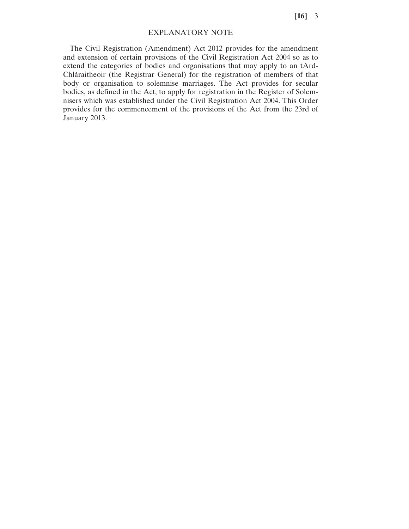**[16]** 3

## EXPLANATORY NOTE

The Civil Registration (Amendment) Act 2012 provides for the amendment and extension of certain provisions of the Civil Registration Act 2004 so as to extend the categories of bodies and organisations that may apply to an tArd-Chláraitheoir (the Registrar General) for the registration of members of that body or organisation to solemnise marriages. The Act provides for secular bodies, as defined in the Act, to apply for registration in the Register of Solemnisers which was established under the Civil Registration Act 2004. This Order provides for the commencement of the provisions of the Act from the 23rd of January 2013.